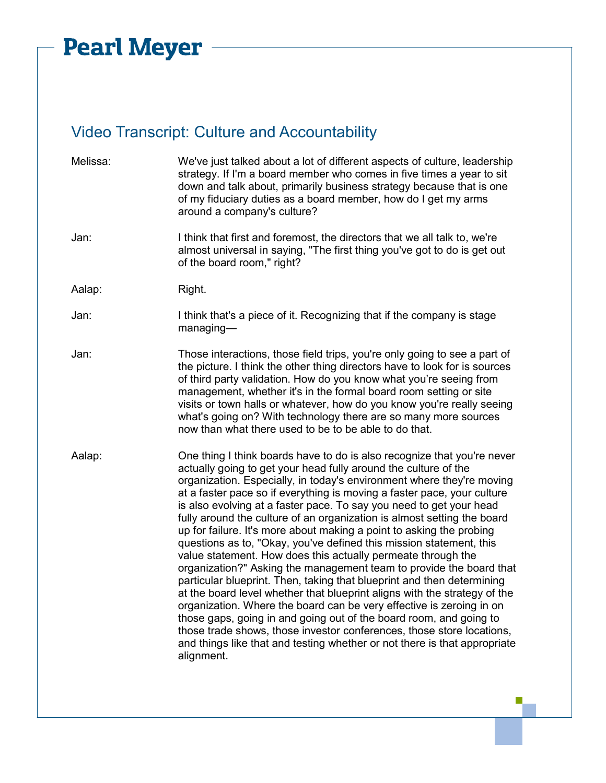## **Pearl Meyer -**

## Video Transcript: Culture and Accountability

| Melissa: | We've just talked about a lot of different aspects of culture, leadership<br>strategy. If I'm a board member who comes in five times a year to sit<br>down and talk about, primarily business strategy because that is one<br>of my fiduciary duties as a board member, how do I get my arms<br>around a company's culture?                                                                                                                                                                                                                                                                                                                                                                                                                                                                                                                                                                                                                                                                                                                                                                                                                                                                                     |
|----------|-----------------------------------------------------------------------------------------------------------------------------------------------------------------------------------------------------------------------------------------------------------------------------------------------------------------------------------------------------------------------------------------------------------------------------------------------------------------------------------------------------------------------------------------------------------------------------------------------------------------------------------------------------------------------------------------------------------------------------------------------------------------------------------------------------------------------------------------------------------------------------------------------------------------------------------------------------------------------------------------------------------------------------------------------------------------------------------------------------------------------------------------------------------------------------------------------------------------|
| Jan:     | I think that first and foremost, the directors that we all talk to, we're<br>almost universal in saying, "The first thing you've got to do is get out<br>of the board room," right?                                                                                                                                                                                                                                                                                                                                                                                                                                                                                                                                                                                                                                                                                                                                                                                                                                                                                                                                                                                                                             |
| Aalap:   | Right.                                                                                                                                                                                                                                                                                                                                                                                                                                                                                                                                                                                                                                                                                                                                                                                                                                                                                                                                                                                                                                                                                                                                                                                                          |
| Jan:     | I think that's a piece of it. Recognizing that if the company is stage<br>$m$ anaging-                                                                                                                                                                                                                                                                                                                                                                                                                                                                                                                                                                                                                                                                                                                                                                                                                                                                                                                                                                                                                                                                                                                          |
| Jan:     | Those interactions, those field trips, you're only going to see a part of<br>the picture. I think the other thing directors have to look for is sources<br>of third party validation. How do you know what you're seeing from<br>management, whether it's in the formal board room setting or site<br>visits or town halls or whatever, how do you know you're really seeing<br>what's going on? With technology there are so many more sources<br>now than what there used to be to be able to do that.                                                                                                                                                                                                                                                                                                                                                                                                                                                                                                                                                                                                                                                                                                        |
| Aalap:   | One thing I think boards have to do is also recognize that you're never<br>actually going to get your head fully around the culture of the<br>organization. Especially, in today's environment where they're moving<br>at a faster pace so if everything is moving a faster pace, your culture<br>is also evolving at a faster pace. To say you need to get your head<br>fully around the culture of an organization is almost setting the board<br>up for failure. It's more about making a point to asking the probing<br>questions as to, "Okay, you've defined this mission statement, this<br>value statement. How does this actually permeate through the<br>organization?" Asking the management team to provide the board that<br>particular blueprint. Then, taking that blueprint and then determining<br>at the board level whether that blueprint aligns with the strategy of the<br>organization. Where the board can be very effective is zeroing in on<br>those gaps, going in and going out of the board room, and going to<br>those trade shows, those investor conferences, those store locations,<br>and things like that and testing whether or not there is that appropriate<br>alignment. |